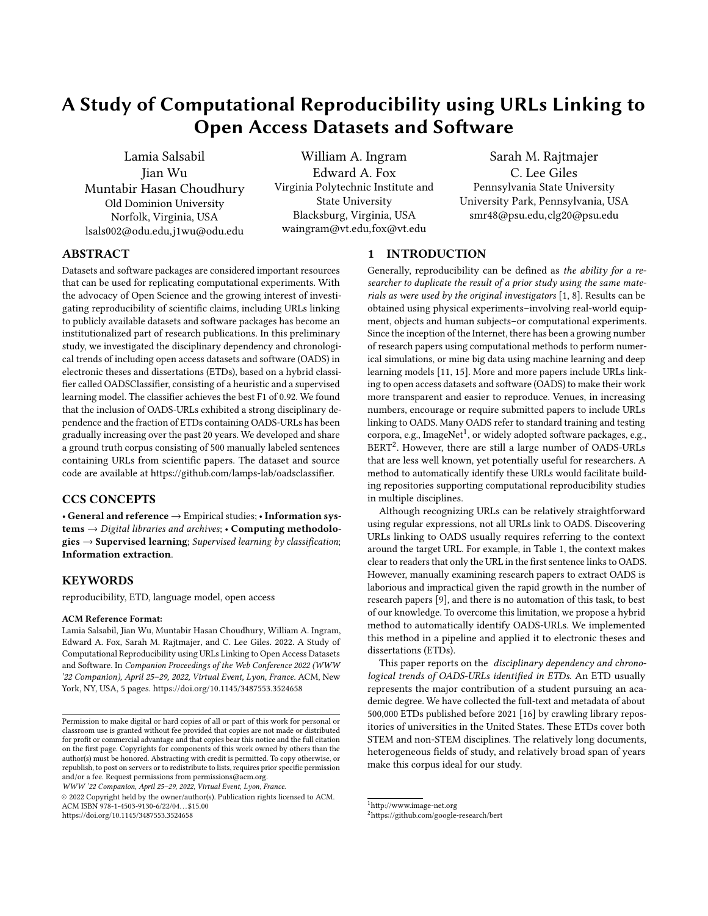# A Study of Computational Reproducibility using URLs Linking to Open Access Datasets and Software

Lamia Salsabil Jian Wu Muntabir Hasan Choudhury Old Dominion University Norfolk, Virginia, USA lsals002@odu.edu,j1wu@odu.edu

William A. Ingram Edward A. Fox Virginia Polytechnic Institute and State University Blacksburg, Virginia, USA waingram@vt.edu,fox@vt.edu

Sarah M. Rajtmajer C. Lee Giles Pennsylvania State University University Park, Pennsylvania, USA smr48@psu.edu,clg20@psu.edu

# ABSTRACT

Datasets and software packages are considered important resources that can be used for replicating computational experiments. With the advocacy of Open Science and the growing interest of investigating reproducibility of scientific claims, including URLs linking to publicly available datasets and software packages has become an institutionalized part of research publications. In this preliminary study, we investigated the disciplinary dependency and chronological trends of including open access datasets and software (OADS) in electronic theses and dissertations (ETDs), based on a hybrid classifier called OADSClassifier, consisting of a heuristic and a supervised learning model. The classifier achieves the best F1 of 0.92. We found that the inclusion of OADS-URLs exhibited a strong disciplinary dependence and the fraction of ETDs containing OADS-URLs has been gradually increasing over the past 20 years. We developed and share a ground truth corpus consisting of 500 manually labeled sentences containing URLs from scientific papers. The dataset and source code are available at https://github.com/lamps-lab/oadsclassifier.

# CCS CONCEPTS

• General and reference → Empirical studies; • Information systems → Digital libraries and archives; • Computing methodolo $gies \rightarrow$  Supervised learning; Supervised learning by classification; Information extraction.

# **KEYWORDS**

reproducibility, ETD, language model, open access

#### ACM Reference Format:

Lamia Salsabil, Jian Wu, Muntabir Hasan Choudhury, William A. Ingram, Edward A. Fox, Sarah M. Rajtmajer, and C. Lee Giles. 2022. A Study of Computational Reproducibility using URLs Linking to Open Access Datasets and Software. In Companion Proceedings of the Web Conference 2022 (WWW '22 Companion), April 25–29, 2022, Virtual Event, Lyon, France. ACM, New York, NY, USA, [5](#page-4-0) pages.<https://doi.org/10.1145/3487553.3524658>

WWW '22 Companion, April 25–29, 2022, Virtual Event, Lyon, France.

© 2022 Copyright held by the owner/author(s). Publication rights licensed to ACM. ACM ISBN 978-1-4503-9130-6/22/04. . . \$15.00 <https://doi.org/10.1145/3487553.3524658>

1 INTRODUCTION

Generally, reproducibility can be defined as the ability for a researcher to duplicate the result of a prior study using the same materials as were used by the original investigators  $[1, 8]$  $[1, 8]$  $[1, 8]$ . Results can be obtained using physical experiments–involving real-world equipment, objects and human subjects–or computational experiments. Since the inception of the Internet, there has been a growing number of research papers using computational methods to perform numerical simulations, or mine big data using machine learning and deep learning models [\[11,](#page-4-3) [15\]](#page-4-4). More and more papers include URLs linking to open access datasets and software (OADS) to make their work more transparent and easier to reproduce. Venues, in increasing numbers, encourage or require submitted papers to include URLs linking to OADS. Many OADS refer to standard training and testing corpora, e.g., ImageNet<sup>[1](#page-0-0)</sup>, or widely adopted software packages, e.g., BERT<sup>[2](#page-0-1)</sup>. However, there are still a large number of OADS-URLs that are less well known, yet potentially useful for researchers. A method to automatically identify these URLs would facilitate building repositories supporting computational reproducibility studies in multiple disciplines.

Although recognizing URLs can be relatively straightforward using regular expressions, not all URLs link to OADS. Discovering URLs linking to OADS usually requires referring to the context around the target URL. For example, in Table [1,](#page-1-0) the context makes clear to readers that only the URL in the first sentence links to OADS. However, manually examining research papers to extract OADS is laborious and impractical given the rapid growth in the number of research papers [\[9\]](#page-4-5), and there is no automation of this task, to best of our knowledge. To overcome this limitation, we propose a hybrid method to automatically identify OADS-URLs. We implemented this method in a pipeline and applied it to electronic theses and dissertations (ETDs).

This paper reports on the disciplinary dependency and chronological trends of OADS-URLs identified in ETDs. An ETD usually represents the major contribution of a student pursuing an academic degree. We have collected the full-text and metadata of about 500,000 ETDs published before 2021 [\[16\]](#page-4-6) by crawling library repositories of universities in the United States. These ETDs cover both STEM and non-STEM disciplines. The relatively long documents, heterogeneous fields of study, and relatively broad span of years make this corpus ideal for our study.

Permission to make digital or hard copies of all or part of this work for personal or classroom use is granted without fee provided that copies are not made or distributed for profit or commercial advantage and that copies bear this notice and the full citation on the first page. Copyrights for components of this work owned by others than the author(s) must be honored. Abstracting with credit is permitted. To copy otherwise, or republish, to post on servers or to redistribute to lists, requires prior specific permission and/or a fee. Request permissions from permissions@acm.org.

<span id="page-0-0"></span> $^{\rm 1}$  http://www.image-net.org

<span id="page-0-1"></span><sup>2</sup>https://github.com/google-research/bert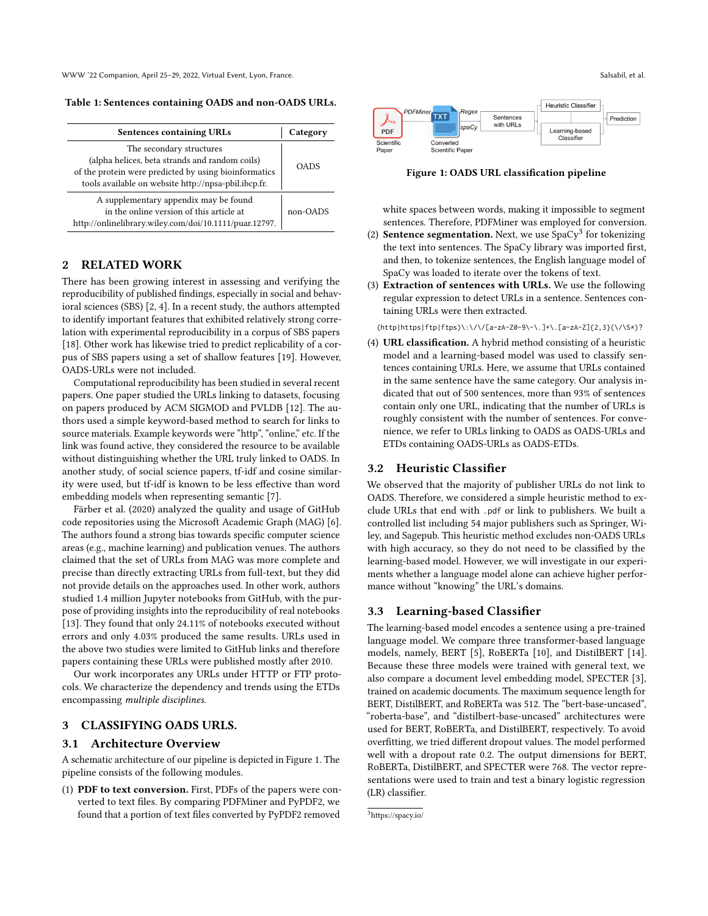<span id="page-1-0"></span>Table 1: Sentences containing OADS and non-OADS URLs.

| <b>Sentences containing URLs</b>                                                                                                                                                            | Category    |  |
|---------------------------------------------------------------------------------------------------------------------------------------------------------------------------------------------|-------------|--|
| The secondary structures<br>(alpha helices, beta strands and random coils)<br>of the protein were predicted by using bioinformatics<br>tools available on website http://npsa-pbil.ibcp.fr. | <b>OADS</b> |  |
| A supplementary appendix may be found<br>in the online version of this article at<br>http://onlinelibrary.wiley.com/doi/10.1111/puar.12797.                                                 | non-OADS    |  |

## 2 RELATED WORK

There has been growing interest in assessing and verifying the reproducibility of published findings, especially in social and behavioral sciences (SBS) [\[2,](#page-4-7) [4\]](#page-4-8). In a recent study, the authors attempted to identify important features that exhibited relatively strong correlation with experimental reproducibility in a corpus of SBS papers [\[18\]](#page-4-9). Other work has likewise tried to predict replicability of a corpus of SBS papers using a set of shallow features [\[19\]](#page-4-10). However, OADS-URLs were not included.

Computational reproducibility has been studied in several recent papers. One paper studied the URLs linking to datasets, focusing on papers produced by ACM SIGMOD and PVLDB [\[12\]](#page-4-11). The authors used a simple keyword-based method to search for links to source materials. Example keywords were "http", "online," etc. If the link was found active, they considered the resource to be available without distinguishing whether the URL truly linked to OADS. In another study, of social science papers, tf-idf and cosine similarity were used, but tf-idf is known to be less effective than word embedding models when representing semantic [\[7\]](#page-4-12).

Färber et al. (2020) analyzed the quality and usage of GitHub code repositories using the Microsoft Academic Graph (MAG) [\[6\]](#page-4-13). The authors found a strong bias towards specific computer science areas (e.g., machine learning) and publication venues. The authors claimed that the set of URLs from MAG was more complete and precise than directly extracting URLs from full-text, but they did not provide details on the approaches used. In other work, authors studied 1.4 million Jupyter notebooks from GitHub, with the purpose of providing insights into the reproducibility of real notebooks [\[13\]](#page-4-14). They found that only 24.11% of notebooks executed without errors and only 4.03% produced the same results. URLs used in the above two studies were limited to GitHub links and therefore papers containing these URLs were published mostly after 2010.

Our work incorporates any URLs under HTTP or FTP protocols. We characterize the dependency and trends using the ETDs encompassing multiple disciplines.

# 3 CLASSIFYING OADS URLS.

#### 3.1 Architecture Overview

A schematic architecture of our pipeline is depicted in Figure [1.](#page-1-1) The pipeline consists of the following modules.

(1) PDF to text conversion. First, PDFs of the papers were converted to text files. By comparing PDFMiner and PyPDF2, we found that a portion of text files converted by PyPDF2 removed

<span id="page-1-1"></span>

Figure 1: OADS URL classification pipeline

white spaces between words, making it impossible to segment sentences. Therefore, PDFMiner was employed for conversion.

- (2) **Sentence segmentation.** Next, we use  $SpaCy<sup>3</sup>$  $SpaCy<sup>3</sup>$  $SpaCy<sup>3</sup>$  for tokenizing the text into sentences. The SpaCy library was imported first, and then, to tokenize sentences, the English language model of SpaCy was loaded to iterate over the tokens of text.
- (3) Extraction of sentences with URLs. We use the following regular expression to detect URLs in a sentence. Sentences containing URLs were then extracted.

 $(\text{http|https|ftp|ftps}\rangle\:\allowbreak\:\allowbreak\backslash\allowbreak\}/[a-zA-Z0-9\}-\,\ldots]+\.\;[a-zA-Z]{2,3}\(\.\allowbreak\backslash\backslash\allowbreak S*)?$ 

(4) URL classification. A hybrid method consisting of a heuristic model and a learning-based model was used to classify sentences containing URLs. Here, we assume that URLs contained in the same sentence have the same category. Our analysis indicated that out of 500 sentences, more than 93% of sentences contain only one URL, indicating that the number of URLs is roughly consistent with the number of sentences. For convenience, we refer to URLs linking to OADS as OADS-URLs and ETDs containing OADS-URLs as OADS-ETDs.

#### 3.2 Heuristic Classifier

We observed that the majority of publisher URLs do not link to OADS. Therefore, we considered a simple heuristic method to exclude URLs that end with .pdf or link to publishers. We built a controlled list including 54 major publishers such as Springer, Wiley, and Sagepub. This heuristic method excludes non-OADS URLs with high accuracy, so they do not need to be classified by the learning-based model. However, we will investigate in our experiments whether a language model alone can achieve higher performance without "knowing" the URL's domains.

## 3.3 Learning-based Classifier

The learning-based model encodes a sentence using a pre-trained language model. We compare three transformer-based language models, namely, BERT [\[5\]](#page-4-15), RoBERTa [\[10\]](#page-4-16), and DistilBERT [\[14\]](#page-4-17). Because these three models were trained with general text, we also compare a document level embedding model, SPECTER [\[3\]](#page-4-18), trained on academic documents. The maximum sequence length for BERT, DistilBERT, and RoBERTa was 512. The "bert-base-uncased", "roberta-base", and "distilbert-base-uncased" architectures were used for BERT, RoBERTa, and DistilBERT, respectively. To avoid overfitting, we tried different dropout values. The model performed well with a dropout rate 0.2. The output dimensions for BERT, RoBERTa, DistilBERT, and SPECTER were 768. The vector representations were used to train and test a binary logistic regression (LR) classifier.

<span id="page-1-2"></span><sup>3</sup><https://spacy.io/>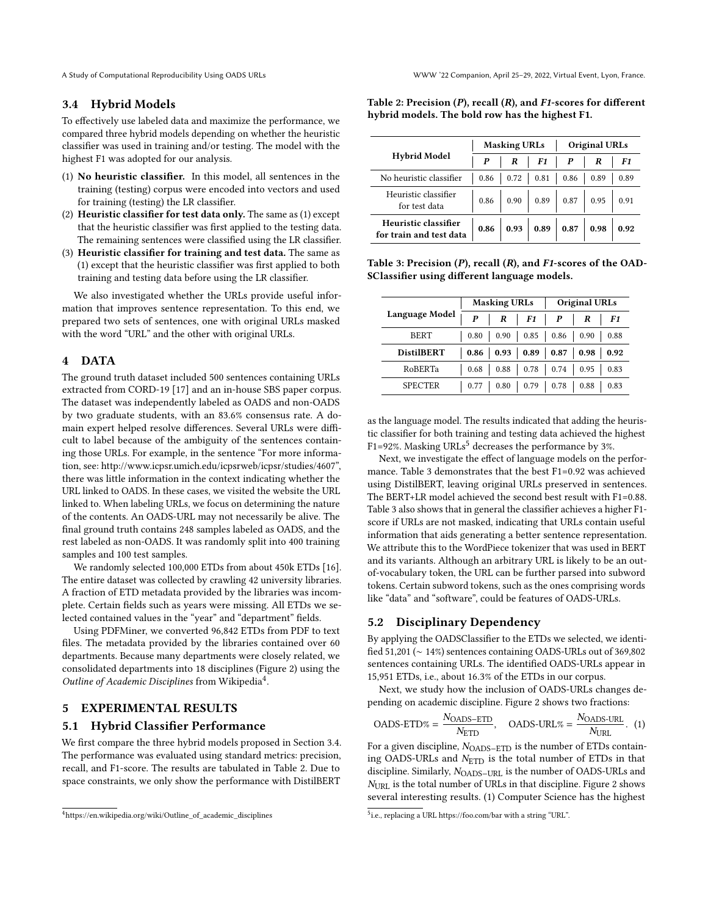## <span id="page-2-1"></span>3.4 Hybrid Models

To effectively use labeled data and maximize the performance, we compared three hybrid models depending on whether the heuristic classifier was used in training and/or testing. The model with the highest F1 was adopted for our analysis.

- (1) No heuristic classifier. In this model, all sentences in the training (testing) corpus were encoded into vectors and used for training (testing) the LR classifier.
- (2) Heuristic classifier for test data only. The same as (1) except that the heuristic classifier was first applied to the testing data. The remaining sentences were classified using the LR classifier.
- (3) Heuristic classifier for training and test data. The same as (1) except that the heuristic classifier was first applied to both training and testing data before using the LR classifier.

We also investigated whether the URLs provide useful information that improves sentence representation. To this end, we prepared two sets of sentences, one with original URLs masked with the word "URL" and the other with original URLs.

## 4 DATA

The ground truth dataset included 500 sentences containing URLs extracted from CORD-19 [\[17\]](#page-4-19) and an in-house SBS paper corpus. The dataset was independently labeled as OADS and non-OADS by two graduate students, with an 83.6% consensus rate. A domain expert helped resolve differences. Several URLs were difficult to label because of the ambiguity of the sentences containing those URLs. For example, in the sentence "For more information, see: http://www.icpsr.umich.edu/icpsrweb/icpsr/studies/4607", there was little information in the context indicating whether the URL linked to OADS. In these cases, we visited the website the URL linked to. When labeling URLs, we focus on determining the nature of the contents. An OADS-URL may not necessarily be alive. The final ground truth contains 248 samples labeled as OADS, and the rest labeled as non-OADS. It was randomly split into 400 training samples and 100 test samples.

We randomly selected 100,000 ETDs from about 450k ETDs [\[16\]](#page-4-6). The entire dataset was collected by crawling 42 university libraries. A fraction of ETD metadata provided by the libraries was incomplete. Certain fields such as years were missing. All ETDs we selected contained values in the "year" and "department" fields.

Using PDFMiner, we converted 96,842 ETDs from PDF to text files. The metadata provided by the libraries contained over 60 departments. Because many departments were closely related, we consolidated departments into 18 disciplines (Figure [2\)](#page-3-0) using the Outline of Academic Disciplines from Wikipedia<sup>[4](#page-2-0)</sup>.

## 5 EXPERIMENTAL RESULTS

#### 5.1 Hybrid Classifier Performance

We first compare the three hybrid models proposed in Section [3.4.](#page-2-1) The performance was evaluated using standard metrics: precision, recall, and F1-score. The results are tabulated in Table [2.](#page-2-2) Due to space constraints, we only show the performance with DistilBERT

<span id="page-2-2"></span>Table 2: Precision  $(P)$ , recall  $(R)$ , and F1-scores for different hybrid models. The bold row has the highest F1.

| <b>Hybrid Model</b>                             | <b>Masking URLs</b> |             |  | <b>Original URLs</b> |                                                                                                  |      |
|-------------------------------------------------|---------------------|-------------|--|----------------------|--------------------------------------------------------------------------------------------------|------|
|                                                 | $\bm{P}$            | $R$   $F1$  |  | $\mathbf{P}$         | R                                                                                                | F1   |
| No heuristic classifier                         | 0.86                | $0.72$ 0.81 |  | 0.86                 | 0.89                                                                                             | 0.89 |
| Heuristic classifier<br>for test data           |                     |             |  |                      | $0.86$   0.90   0.89   0.87   0.95                                                               | 0.91 |
| Heuristic classifier<br>for train and test data |                     |             |  |                      | $0.86 \begin{array}{ c c c c c c } \hline 0.93 & 0.89 & 0.87 & 0.98 & 0.92 \ \hline \end{array}$ |      |

<span id="page-2-4"></span>Table 3: Precision (P), recall (R), and F1-scores of the OAD-SClassifier using different language models.

|                   |      | <b>Masking URLs</b> |                                           | <b>Original URLs</b> |                      |      |
|-------------------|------|---------------------|-------------------------------------------|----------------------|----------------------|------|
| Language Model    | P    | R                   | F1                                        | $\bm{P}$             | R                    | F1   |
| <b>BERT</b>       | 0.80 |                     | $0.90$   $0.85$   $0.86$   $0.90$         |                      |                      | 0.88 |
| <b>DistilBERT</b> | 0.86 |                     | $0.93 \mid 0.89 \mid 0.87 \mid 0.98 \mid$ |                      |                      | 0.92 |
| RoBERTa           | 0.68 | 0.88                |                                           |                      | $0.78$   0.74   0.95 | 0.83 |
| <b>SPECTER</b>    |      | 0.80                | 0.79                                      | 0.78                 | 0.88                 | 0.83 |

as the language model. The results indicated that adding the heuristic classifier for both training and testing data achieved the highest F1=92%. Masking URLs<sup>[5](#page-2-3)</sup> decreases the performance by 3%.

Next, we investigate the effect of language models on the performance. Table [3](#page-2-4) demonstrates that the best F1=0.92 was achieved using DistilBERT, leaving original URLs preserved in sentences. The BERT+LR model achieved the second best result with F1=0.88. Table [3](#page-2-4) also shows that in general the classifier achieves a higher F1 score if URLs are not masked, indicating that URLs contain useful information that aids generating a better sentence representation. We attribute this to the WordPiece tokenizer that was used in BERT and its variants. Although an arbitrary URL is likely to be an outof-vocabulary token, the URL can be further parsed into subword tokens. Certain subword tokens, such as the ones comprising words like "data" and "software", could be features of OADS-URLs.

#### 5.2 Disciplinary Dependency

By applying the OADSClassifier to the ETDs we selected, we identified 51,201 (∼ 14%) sentences containing OADS-URLs out of 369,802 sentences containing URLs. The identified OADS-URLs appear in 15,951 ETDs, i.e., about 16.3% of the ETDs in our corpus.

Next, we study how the inclusion of OADS-URLs changes depending on academic discipline. Figure [2](#page-3-0) shows two fractions:

<span id="page-2-5"></span>
$$
OADS\text{-}ETD\% = \frac{N_{OADS\text{-}ETD}}{N_{ETD}}, \quad OADS\text{-}URL\% = \frac{N_{OADS\text{-}URL}}{N_{URL}}. (1)
$$

For a given discipline,  $N_{\text{OADS–ETD}}$  is the number of ETDs containing OADS-URLs and  $N_{\text{ETD}}$  is the total number of ETDs in that discipline. Similarly,  $N_{\text{OADS–URL}}$  is the number of OADS-URLs and  $N<sub>URL</sub>$  is the total number of URLs in that discipline. Figure [2](#page-3-0) shows several interesting results. (1) Computer Science has the highest

<span id="page-2-0"></span><sup>4</sup>[https://en.wikipedia.org/wiki/Outline\\_of\\_academic\\_disciplines](https://en.wikipedia.org/wiki/Outline_of_academic_disciplines)

<span id="page-2-3"></span><sup>&</sup>lt;sup>5</sup>i.e., replacing a URL https://foo.com/bar with a string "URL".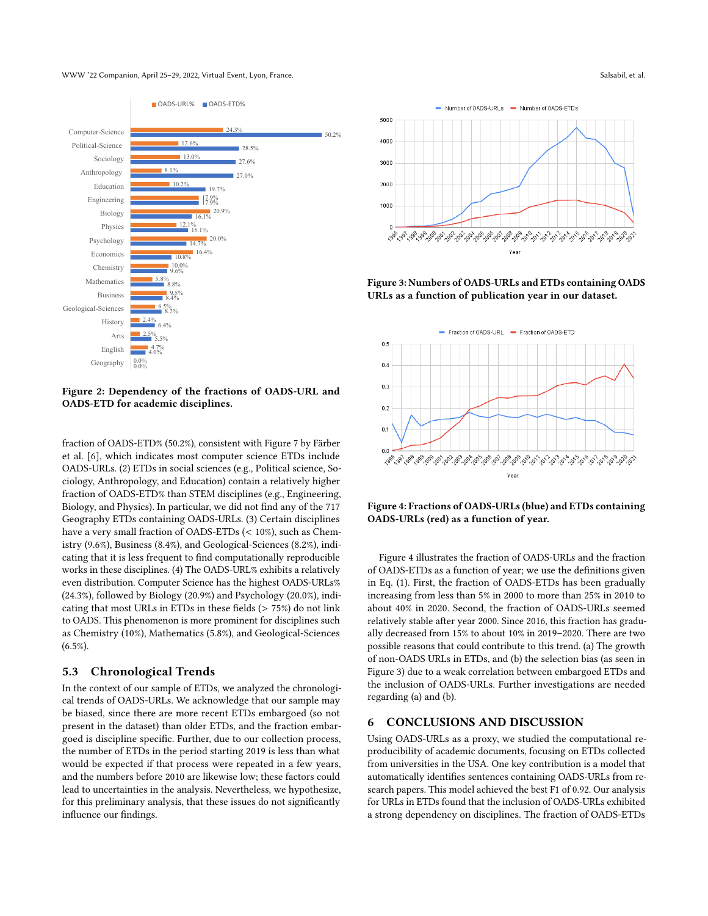WWW '22 Companion, April 25–29, 2022, Virtual Event, Lyon, France. Salsabil, et al. Salsabil, et al. Salsabil, et al.

<span id="page-3-0"></span>

Figure 2: Dependency of the fractions of OADS-URL and OADS-ETD for academic disciplines.

fraction of OADS-ETD% (50.2%), consistent with Figure 7 by Färber et al. [\[6\]](#page-4-13), which indicates most computer science ETDs include OADS-URLs. (2) ETDs in social sciences (e.g., Political science, Sociology, Anthropology, and Education) contain a relatively higher fraction of OADS-ETD% than STEM disciplines (e.g., Engineering, Biology, and Physics). In particular, we did not find any of the 717 Geography ETDs containing OADS-URLs. (3) Certain disciplines have a very small fraction of OADS-ETDs (< 10%), such as Chemistry (9.6%), Business (8.4%), and Geological-Sciences (8.2%), indicating that it is less frequent to find computationally reproducible works in these disciplines. (4) The OADS-URL% exhibits a relatively even distribution. Computer Science has the highest OADS-URLs% (24.3%), followed by Biology (20.9%) and Psychology (20.0%), indicating that most URLs in ETDs in these fields (> 75%) do not link to OADS. This phenomenon is more prominent for disciplines such as Chemistry (10%), Mathematics (5.8%), and Geological-Sciences (6.5%).

#### 5.3 Chronological Trends

In the context of our sample of ETDs, we analyzed the chronological trends of OADS-URLs. We acknowledge that our sample may be biased, since there are more recent ETDs embargoed (so not present in the dataset) than older ETDs, and the fraction embargoed is discipline specific. Further, due to our collection process, the number of ETDs in the period starting 2019 is less than what would be expected if that process were repeated in a few years, and the numbers before 2010 are likewise low; these factors could lead to uncertainties in the analysis. Nevertheless, we hypothesize, for this preliminary analysis, that these issues do not significantly influence our findings.

<span id="page-3-2"></span>

Figure 3: Numbers of OADS-URLs and ETDs containing OADS URLs as a function of publication year in our dataset.

<span id="page-3-1"></span>

Figure 4: Fractions of OADS-URLs (blue) and ETDs containing OADS-URLs (red) as a function of year.

Figure [4](#page-3-1) illustrates the fraction of OADS-URLs and the fraction of OADS-ETDs as a function of year; we use the definitions given in Eq. [\(1\)](#page-2-5). First, the fraction of OADS-ETDs has been gradually increasing from less than 5% in 2000 to more than 25% in 2010 to about 40% in 2020. Second, the fraction of OADS-URLs seemed relatively stable after year 2000. Since 2016, this fraction has gradually decreased from 15% to about 10% in 2019–2020. There are two possible reasons that could contribute to this trend. (a) The growth of non-OADS URLs in ETDs, and (b) the selection bias (as seen in Figure [3\)](#page-3-2) due to a weak correlation between embargoed ETDs and the inclusion of OADS-URLs. Further investigations are needed regarding (a) and (b).

#### 6 CONCLUSIONS AND DISCUSSION

Using OADS-URLs as a proxy, we studied the computational reproducibility of academic documents, focusing on ETDs collected from universities in the USA. One key contribution is a model that automatically identifies sentences containing OADS-URLs from research papers. This model achieved the best F1 of 0.92. Our analysis for URLs in ETDs found that the inclusion of OADS-URLs exhibited a strong dependency on disciplines. The fraction of OADS-ETDs